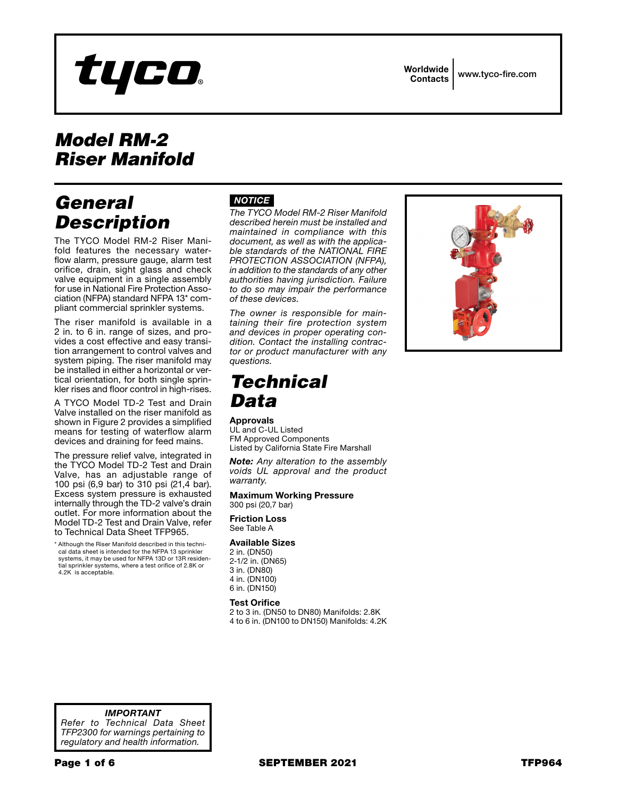

Worldwide

Contacts www.tyco-fire.com

# *Model RM-2 Riser Manifold*

# *General Description*

The TYCO Model RM-2 Riser Mani fold features the necessary waterflow alarm, pressure gauge, alarm test orifice, drain, sight glass and check valve equipment in a single assembly for use in National Fire Protection Asso ciation (NFPA) standard NFPA 13 \* com pliant commercial sprinkler systems.

The riser manifold is available in a 2 in. to 6 in. range of sizes, and pro vides a cost effective and easy transi tion arrangement to control valves and system piping. The riser manifold may be installed in either a horizontal or ver tical orientation, for both single sprin kler rises and floor control in high-rises.

A TYCO Model TD-2 Test and Drain Valve installed on the riser manifold as shown in Figure 2 provides a simplified means for testing of waterflow alarm devices and draining for feed mains.

The pressure relief valve, integrated in the TYCO Model TD-2 Test and Drain Valve, has an adjustable range of 100 psi (6,9 bar) to 310 psi (21,4 bar). Excess system pressure is exhausted internally through the TD-2 valve's drain outlet. For more information about the Model TD-2 Test and Drain Valve, refer to Technical Data Sheet TFP965.

\* Although the Riser Manifold described in this techni cal data sheet is intended for the NFPA 13 sprinkler systems, it may be used for NFPA 13D or 13R residen tial sprinkler systems, where a test orifice of 2.8K or 4.2K is acceptable.

### *NOTICE*

*The TYCO Model RM-2 Riser Manifold described herein must be installed and maintained in compliance with this document, as well as with the applica ble standards of the NATIONAL FIRE PROTECTION ASSOCIATION (NFPA), in addition to the standards of any other authorities having jurisdiction. Failure to do so may impair the performance of these devices.*

*The owner is responsible for main taining their fire protection system and devices in proper operating con dition. Contact the installing contrac tor or product manufacturer with any questions.*

# *Technical Data*

### Approvals

UL and C-UL Listed FM Approved Components Listed by California State Fire Marshall

*Note: Any alteration to the assembly voids UL approval and the product warranty.*

#### Maximum Working Pressure 300 psi (20,7 bar)

Friction Loss See Table A

#### Available Sizes

2 in. (DN50) 2-1/2 in. (DN65) 3 in. (DN80) 4 in. (DN100) 6 in. (DN150)

#### Test Orifice

2 to 3 in. (DN50 to DN80) Manifolds: 2.8K 4 to 6 in. (DN100 to DN150) Manifolds: 4.2K



*IMPORTANT Refer to Technical Data Sheet TFP2300 for warnings pertaining to regulatory and health information.*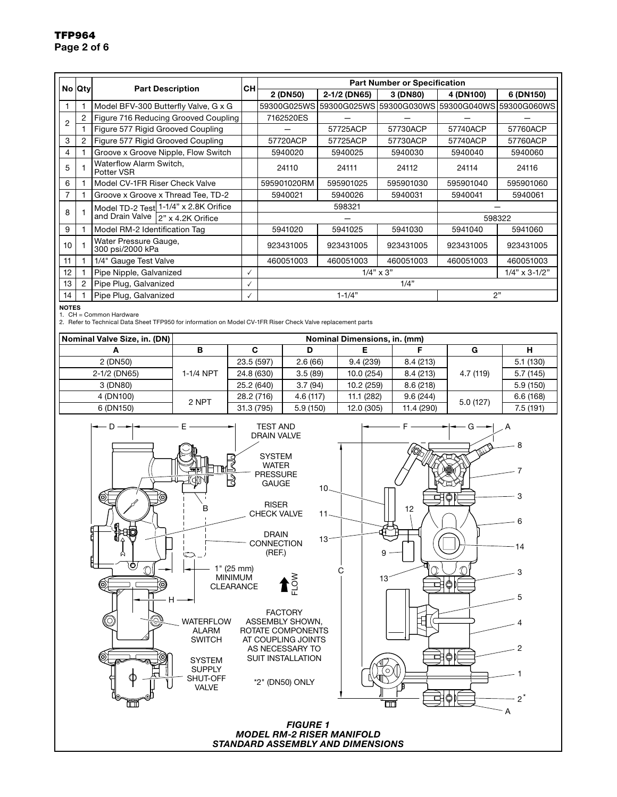### TFP964 Page 2 of 6

|    | No Qty         | <b>Part Description</b>                                                        | CН | <b>Part Number or Specification</b>  |              |           |                                     |              |  |
|----|----------------|--------------------------------------------------------------------------------|----|--------------------------------------|--------------|-----------|-------------------------------------|--------------|--|
|    |                |                                                                                |    | 2 (DN50)                             | 2-1/2 (DN65) | 3 (DN80)  | 4 (DN100)                           | 6 (DN150)    |  |
|    |                | Model BFV-300 Butterfly Valve, G x G                                           |    | 59300G025WS                          |              |           | 59300G025WS159300G030WS159300G040WS | I59300G060WS |  |
| 2  |                | Figure 716 Reducing Grooved Coupling                                           |    | 7162520ES                            |              |           |                                     |              |  |
|    |                | Figure 577 Rigid Grooved Coupling                                              |    |                                      | 57725ACP     | 57730ACP  | 57740ACP                            | 57760ACP     |  |
| 3  | 2              | Figure 577 Rigid Grooved Coupling                                              |    | 57720ACP                             | 57725ACP     | 57730ACP  | 57740ACP                            | 57760ACP     |  |
| 4  |                | Groove x Groove Nipple, Flow Switch                                            |    | 5940020                              | 5940025      | 5940030   | 5940040                             | 5940060      |  |
| 5  |                | Waterflow Alarm Switch,<br>Potter VSR                                          |    | 24110                                | 24111        | 24112     | 24114                               | 24116        |  |
| 6  |                | Model CV-1FR Riser Check Valve                                                 |    | 595901020RM                          | 595901025    | 595901030 | 595901040                           | 595901060    |  |
|    |                | Groove x Groove x Thread Tee, TD-2                                             |    | 5940021                              | 5940026      | 5940031   | 5940041                             | 5940061      |  |
| 8  |                | Model TD-2 Test 1-1/4" x 2.8K Orifice<br>and Drain Valve<br>12" x 4.2K Orifice |    |                                      | 598321       |           |                                     |              |  |
|    |                |                                                                                |    |                                      |              |           | 598322                              |              |  |
| 9  |                | Model RM-2 Identification Tag                                                  |    | 5941020                              | 5941025      | 5941030   | 5941040                             | 5941060      |  |
| 10 |                | Water Pressure Gauge,<br>300 psi/2000 kPa                                      |    | 923431005                            | 923431005    | 923431005 | 923431005                           | 923431005    |  |
| 11 |                | 1/4" Gauge Test Valve                                                          |    | 460051003                            | 460051003    | 460051003 | 460051003                           | 460051003    |  |
| 12 |                | Pipe Nipple, Galvanized                                                        | ✓  | $1/4" \times 3"$<br>$1/4$ " x 3-1/2" |              |           |                                     |              |  |
| 13 | $\overline{2}$ | Pipe Plug, Galvanized                                                          | √  | 1/4"                                 |              |           |                                     |              |  |
| 14 |                | Pipe Plug, Galvanized                                                          | ✓  | 2"<br>$1 - 1/4"$                     |              |           |                                     |              |  |

NOTES

1. CH = Common Hardware 2. Refer to Technical Data Sheet TFP950 for information on Model CV-1FR Riser Check Valve replacement parts

| Nominal Valve Size, in. (DN) | Nominal Dimensions, in. (mm) |            |          |            |            |           |          |  |
|------------------------------|------------------------------|------------|----------|------------|------------|-----------|----------|--|
|                              |                              |            |          |            |            | G         |          |  |
| 2 (DN50)                     |                              | 23.5 (597) | 2.6(66)  | 9.4(239)   | 8.4 (213)  |           | 5.1(130) |  |
| 2-1/2 (DN65)                 | 1-1/4 NPT                    | 24.8 (630) | 3.5(89)  | 10.0(254)  | 8.4 (213)  | 4.7 (119) | 5.7(145) |  |
| 3 (DN80)                     |                              | 25.2 (640) | 3.7(94)  | 10.2 (259) | 8.6(218)   |           | 5.9(150) |  |
| 4 (DN100)                    | 2 NPT                        | 28.2 (716) | 4.6(117) | 11.1 (282) | 9.6(244)   | 5.0(127)  | 6.6(168) |  |
| 6 (DN150)                    |                              | 31.3 (795) | 5.9(150) | 12.0 (305) | 11.4 (290) |           | 7.5(191) |  |

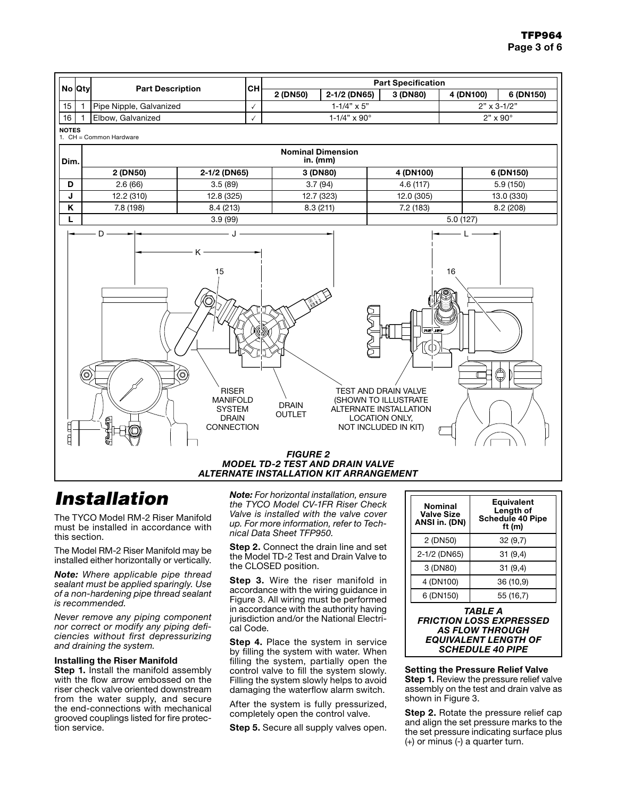

# *Installation*

The TYCO Model RM-2 Riser Manifold must be installed in accordance with this section.

The Model RM-2 Riser Manifold may be installed either horizontally or vertically.

*Note: Where applicable pipe thread sealant must be applied sparingly. Use of a non-hardening pipe thread sealant is recommended.*

*Never remove any piping component nor correct or modify any piping deficiencies without first depressurizing and draining the system.*

#### Installing the Riser Manifold

Step 1. Install the manifold assembly with the flow arrow embossed on the riser check valve oriented downstream from the water supply, and secure the end-connections with mechanical grooved couplings listed for fire protection service.

*Note: For horizontal installation, ensure the TYCO Model CV-1FR Riser Check Valve is installed with the valve cover up. For more information, refer to Technical Data Sheet TFP950.*

Step 2. Connect the drain line and set the Model TD-2 Test and Drain Valve to the CLOSED position.

Step 3. Wire the riser manifold in accordance with the wiring guidance in Figure 3. All wiring must be performed in accordance with the authority having jurisdiction and/or the National Electrical Code.

Step 4. Place the system in service by filling the system with water. When filling the system, partially open the control valve to fill the system slowly. Filling the system slowly helps to avoid damaging the waterflow alarm switch.

After the system is fully pressurized, completely open the control valve.

Step 5. Secure all supply valves open.

| <b>Nominal</b><br><b>Valve Size</b><br>ANSI in. (DN) | <b>Equivalent</b><br>Length of<br><b>Schedule 40 Pipe</b><br>ft $(m)$ |  |  |  |  |
|------------------------------------------------------|-----------------------------------------------------------------------|--|--|--|--|
| 2 (DN50)                                             | 32(9,7)                                                               |  |  |  |  |
| 2-1/2 (DN65)                                         | 31(9,4)                                                               |  |  |  |  |
| 3 (DN80)                                             | 31(9,4)                                                               |  |  |  |  |
| 4 (DN100)                                            | 36 (10,9)                                                             |  |  |  |  |
| 6 (DN150)                                            | 55 (16,7)                                                             |  |  |  |  |
| TABLE A                                              |                                                                       |  |  |  |  |

#### *FRICTION LOSS EXPRESSED AS FLOW THROUGH EQUIVALENT LENGTH OF SCHEDULE 40 PIPE*

Setting the Pressure Relief Valve Step 1. Review the pressure relief valve assembly on the test and drain valve as shown in Figure 3.

Step 2. Rotate the pressure relief cap and align the set pressure marks to the the set pressure indicating surface plus (+) or minus (-) a quarter turn.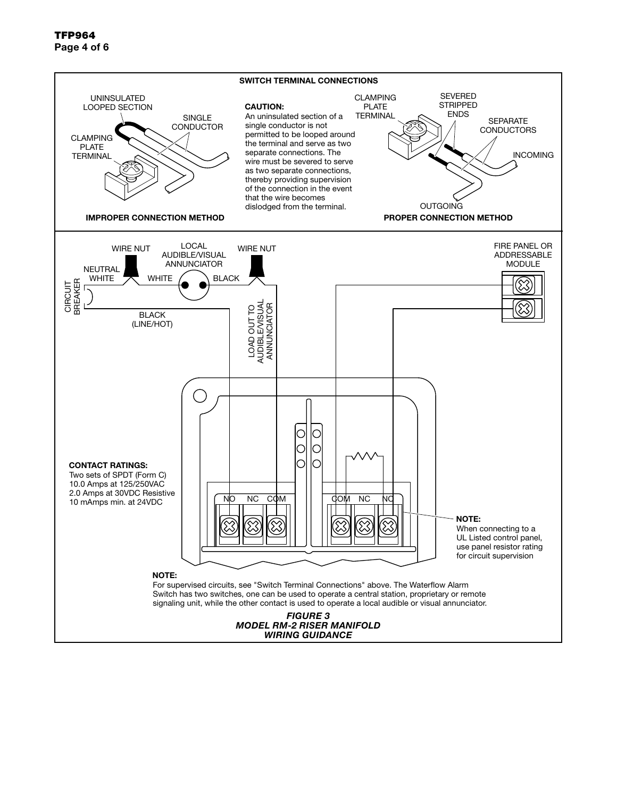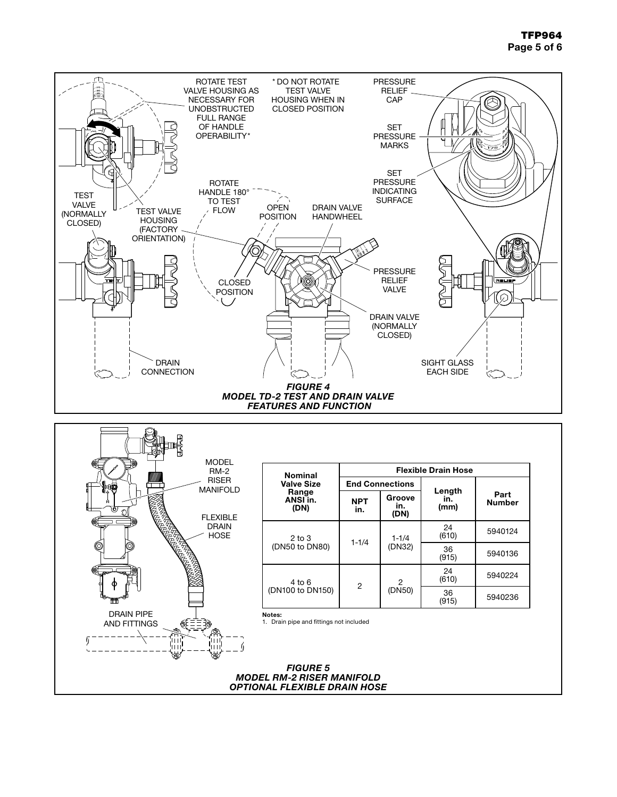